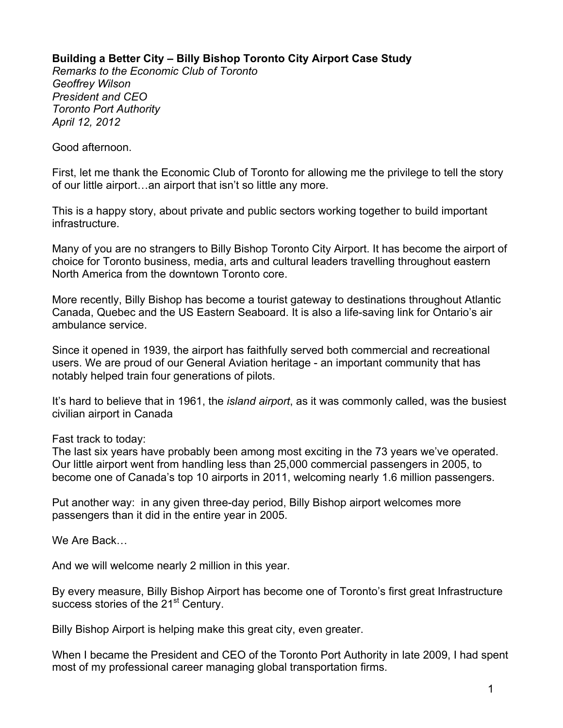## **Building a Better City – Billy Bishop Toronto City Airport Case Study**

*Remarks to the Economic Club of Toronto Geoffrey Wilson President and CEO Toronto Port Authority April 12, 2012*

Good afternoon.

First, let me thank the Economic Club of Toronto for allowing me the privilege to tell the story of our little airport…an airport that isn't so little any more.

This is a happy story, about private and public sectors working together to build important infrastructure.

Many of you are no strangers to Billy Bishop Toronto City Airport. It has become the airport of choice for Toronto business, media, arts and cultural leaders travelling throughout eastern North America from the downtown Toronto core.

More recently, Billy Bishop has become a tourist gateway to destinations throughout Atlantic Canada, Quebec and the US Eastern Seaboard. It is also a life-saving link for Ontario's air ambulance service.

Since it opened in 1939, the airport has faithfully served both commercial and recreational users. We are proud of our General Aviation heritage - an important community that has notably helped train four generations of pilots.

It's hard to believe that in 1961, the *island airport*, as it was commonly called, was the busiest civilian airport in Canada

Fast track to today:

The last six years have probably been among most exciting in the 73 years we've operated. Our little airport went from handling less than 25,000 commercial passengers in 2005, to become one of Canada's top 10 airports in 2011, welcoming nearly 1.6 million passengers.

Put another way: in any given three-day period, Billy Bishop airport welcomes more passengers than it did in the entire year in 2005.

We Are Back…

And we will welcome nearly 2 million in this year.

By every measure, Billy Bishop Airport has become one of Toronto's first great Infrastructure success stories of the 21<sup>st</sup> Century.

Billy Bishop Airport is helping make this great city, even greater.

When I became the President and CEO of the Toronto Port Authority in late 2009, I had spent most of my professional career managing global transportation firms.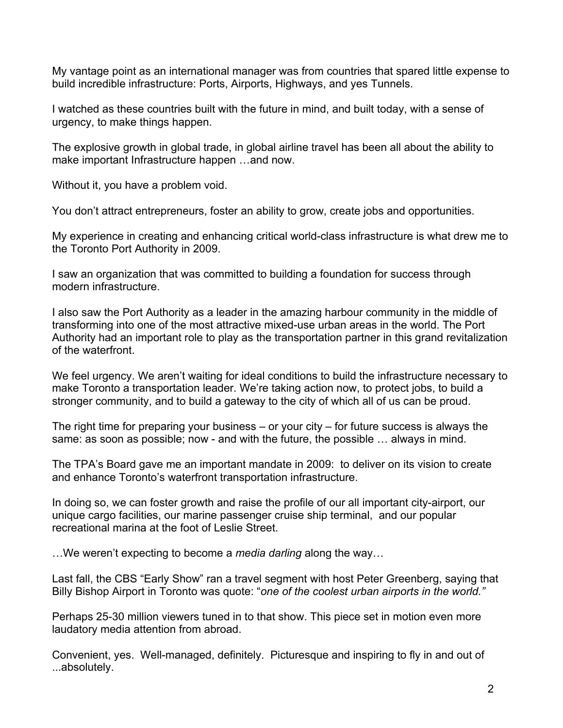My vantage point as an international manager was from countries that spared little expense to build incredible infrastructure: Ports, Airports, Highways, and yes Tunnels.

I watched as these countries built with the future in mind, and built today, with a sense of urgency, to make things happen.

The explosive growth in global trade, in global airline travel has been all about the ability to make important Infrastructure happen …and now.

Without it, you have a problem void.

You don't attract entrepreneurs, foster an ability to grow, create jobs and opportunities.

My experience in creating and enhancing critical world-class infrastructure is what drew me to the Toronto Port Authority in 2009.

I saw an organization that was committed to building a foundation for success through modern infrastructure.

I also saw the Port Authority as a leader in the amazing harbour community in the middle of transforming into one of the most attractive mixed-use urban areas in the world. The Port Authority had an important role to play as the transportation partner in this grand revitalization of the waterfront.

We feel urgency. We aren't waiting for ideal conditions to build the infrastructure necessary to make Toronto a transportation leader. We're taking action now, to protect jobs, to build a stronger community, and to build a gateway to the city of which all of us can be proud.

The right time for preparing your business  $-$  or your city  $-$  for future success is always the same: as soon as possible; now - and with the future, the possible … always in mind.

The TPA's Board gave me an important mandate in 2009: to deliver on its vision to create and enhance Toronto's waterfront transportation infrastructure.

In doing so, we can foster growth and raise the profile of our all important city-airport, our unique cargo facilities, our marine passenger cruise ship terminal, and our popular recreational marina at the foot of Leslie Street.

…We weren't expecting to become a *media darling* along the way…

Last fall, the CBS "Early Show" ran a travel segment with host Peter Greenberg, saying that Billy Bishop Airport in Toronto was quote: "*one of the coolest urban airports in the world."* 

Perhaps 25-30 million viewers tuned in to that show. This piece set in motion even more laudatory media attention from abroad.

Convenient, yes. Well-managed, definitely. Picturesque and inspiring to fly in and out of ...absolutely.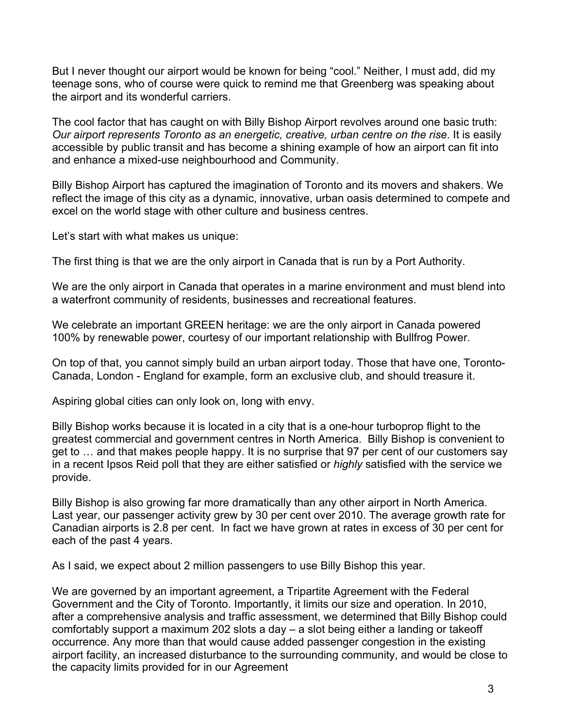But I never thought our airport would be known for being "cool." Neither, I must add, did my teenage sons, who of course were quick to remind me that Greenberg was speaking about the airport and its wonderful carriers.

The cool factor that has caught on with Billy Bishop Airport revolves around one basic truth: *Our airport represents Toronto as an energetic, creative, urban centre on the rise*. It is easily accessible by public transit and has become a shining example of how an airport can fit into and enhance a mixed-use neighbourhood and Community.

Billy Bishop Airport has captured the imagination of Toronto and its movers and shakers. We reflect the image of this city as a dynamic, innovative, urban oasis determined to compete and excel on the world stage with other culture and business centres.

Let's start with what makes us unique:

The first thing is that we are the only airport in Canada that is run by a Port Authority.

We are the only airport in Canada that operates in a marine environment and must blend into a waterfront community of residents, businesses and recreational features.

We celebrate an important GREEN heritage: we are the only airport in Canada powered 100% by renewable power, courtesy of our important relationship with Bullfrog Power.

On top of that, you cannot simply build an urban airport today. Those that have one, Toronto-Canada, London - England for example, form an exclusive club, and should treasure it.

Aspiring global cities can only look on, long with envy.

Billy Bishop works because it is located in a city that is a one-hour turboprop flight to the greatest commercial and government centres in North America. Billy Bishop is convenient to get to … and that makes people happy. It is no surprise that 97 per cent of our customers say in a recent Ipsos Reid poll that they are either satisfied or *highly* satisfied with the service we provide.

Billy Bishop is also growing far more dramatically than any other airport in North America. Last year, our passenger activity grew by 30 per cent over 2010. The average growth rate for Canadian airports is 2.8 per cent. In fact we have grown at rates in excess of 30 per cent for each of the past 4 years.

As I said, we expect about 2 million passengers to use Billy Bishop this year.

We are governed by an important agreement, a Tripartite Agreement with the Federal Government and the City of Toronto. Importantly, it limits our size and operation. In 2010, after a comprehensive analysis and traffic assessment, we determined that Billy Bishop could comfortably support a maximum 202 slots a day – a slot being either a landing or takeoff occurrence. Any more than that would cause added passenger congestion in the existing airport facility, an increased disturbance to the surrounding community, and would be close to the capacity limits provided for in our Agreement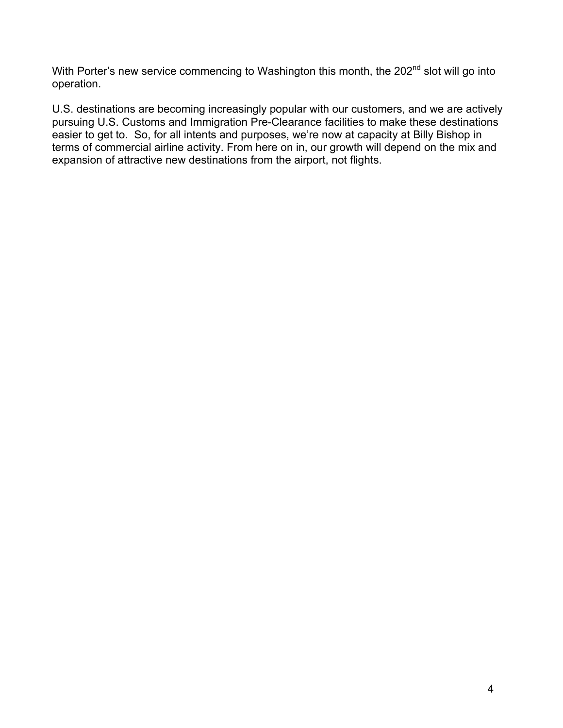With Porter's new service commencing to Washington this month, the 202<sup>nd</sup> slot will go into operation.

U.S. destinations are becoming increasingly popular with our customers, and we are actively pursuing U.S. Customs and Immigration Pre-Clearance facilities to make these destinations easier to get to. So, for all intents and purposes, we're now at capacity at Billy Bishop in terms of commercial airline activity. From here on in, our growth will depend on the mix and expansion of attractive new destinations from the airport, not flights.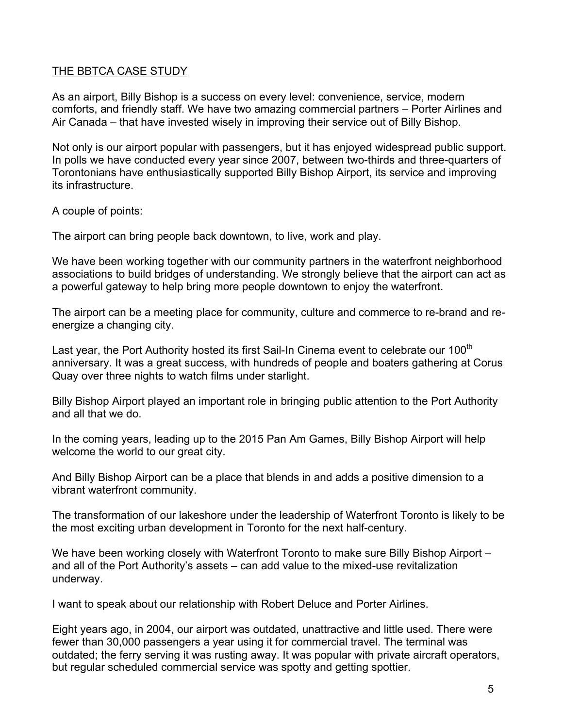## THE BBTCA CASE STUDY

As an airport, Billy Bishop is a success on every level: convenience, service, modern comforts, and friendly staff. We have two amazing commercial partners – Porter Airlines and Air Canada – that have invested wisely in improving their service out of Billy Bishop.

Not only is our airport popular with passengers, but it has enjoyed widespread public support. In polls we have conducted every year since 2007, between two-thirds and three-quarters of Torontonians have enthusiastically supported Billy Bishop Airport, its service and improving its infrastructure.

A couple of points:

The airport can bring people back downtown, to live, work and play.

We have been working together with our community partners in the waterfront neighborhood associations to build bridges of understanding. We strongly believe that the airport can act as a powerful gateway to help bring more people downtown to enjoy the waterfront.

The airport can be a meeting place for community, culture and commerce to re-brand and reenergize a changing city.

Last year, the Port Authority hosted its first Sail-In Cinema event to celebrate our 100<sup>th</sup> anniversary. It was a great success, with hundreds of people and boaters gathering at Corus Quay over three nights to watch films under starlight.

Billy Bishop Airport played an important role in bringing public attention to the Port Authority and all that we do.

In the coming years, leading up to the 2015 Pan Am Games, Billy Bishop Airport will help welcome the world to our great city.

And Billy Bishop Airport can be a place that blends in and adds a positive dimension to a vibrant waterfront community.

The transformation of our lakeshore under the leadership of Waterfront Toronto is likely to be the most exciting urban development in Toronto for the next half-century.

We have been working closely with Waterfront Toronto to make sure Billy Bishop Airport – and all of the Port Authority's assets – can add value to the mixed-use revitalization underway.

I want to speak about our relationship with Robert Deluce and Porter Airlines.

Eight years ago, in 2004, our airport was outdated, unattractive and little used. There were fewer than 30,000 passengers a year using it for commercial travel. The terminal was outdated; the ferry serving it was rusting away. It was popular with private aircraft operators, but regular scheduled commercial service was spotty and getting spottier.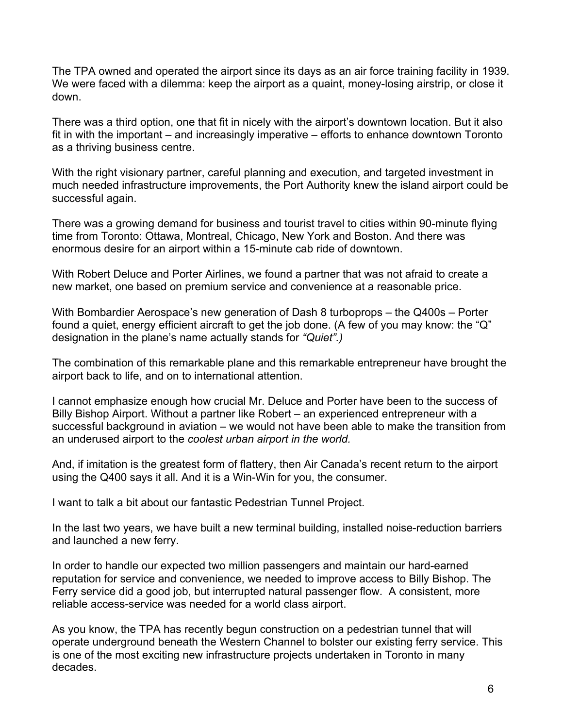The TPA owned and operated the airport since its days as an air force training facility in 1939. We were faced with a dilemma: keep the airport as a quaint, money-losing airstrip, or close it down.

There was a third option, one that fit in nicely with the airport's downtown location. But it also fit in with the important – and increasingly imperative – efforts to enhance downtown Toronto as a thriving business centre.

With the right visionary partner, careful planning and execution, and targeted investment in much needed infrastructure improvements, the Port Authority knew the island airport could be successful again.

There was a growing demand for business and tourist travel to cities within 90-minute flying time from Toronto: Ottawa, Montreal, Chicago, New York and Boston. And there was enormous desire for an airport within a 15-minute cab ride of downtown.

With Robert Deluce and Porter Airlines, we found a partner that was not afraid to create a new market, one based on premium service and convenience at a reasonable price.

With Bombardier Aerospace's new generation of Dash 8 turboprops – the Q400s – Porter found a quiet, energy efficient aircraft to get the job done. (A few of you may know: the "Q" designation in the plane's name actually stands for *"Quiet".)*

The combination of this remarkable plane and this remarkable entrepreneur have brought the airport back to life, and on to international attention.

I cannot emphasize enough how crucial Mr. Deluce and Porter have been to the success of Billy Bishop Airport. Without a partner like Robert – an experienced entrepreneur with a successful background in aviation – we would not have been able to make the transition from an underused airport to the *coolest urban airport in the world.*

And, if imitation is the greatest form of flattery, then Air Canada's recent return to the airport using the Q400 says it all. And it is a Win-Win for you, the consumer.

I want to talk a bit about our fantastic Pedestrian Tunnel Project.

In the last two years, we have built a new terminal building, installed noise-reduction barriers and launched a new ferry.

In order to handle our expected two million passengers and maintain our hard-earned reputation for service and convenience, we needed to improve access to Billy Bishop. The Ferry service did a good job, but interrupted natural passenger flow. A consistent, more reliable access-service was needed for a world class airport.

As you know, the TPA has recently begun construction on a pedestrian tunnel that will operate underground beneath the Western Channel to bolster our existing ferry service. This is one of the most exciting new infrastructure projects undertaken in Toronto in many decades.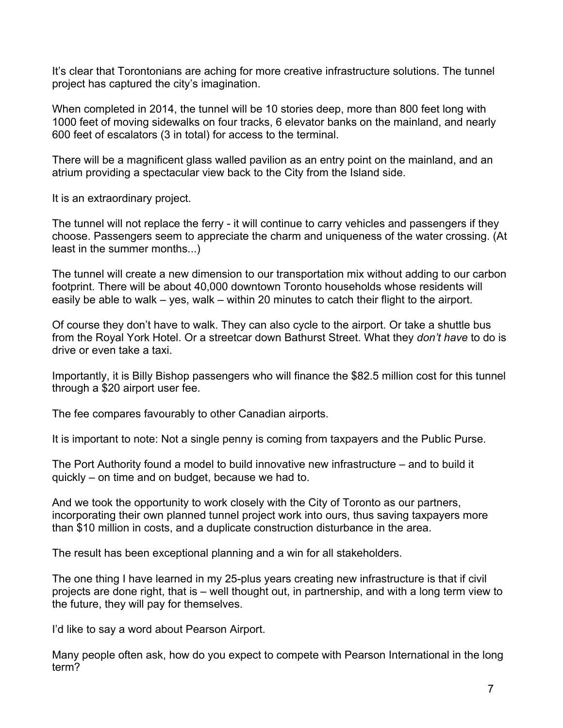It's clear that Torontonians are aching for more creative infrastructure solutions. The tunnel project has captured the city's imagination.

When completed in 2014, the tunnel will be 10 stories deep, more than 800 feet long with 1000 feet of moving sidewalks on four tracks, 6 elevator banks on the mainland, and nearly 600 feet of escalators (3 in total) for access to the terminal.

There will be a magnificent glass walled pavilion as an entry point on the mainland, and an atrium providing a spectacular view back to the City from the Island side.

It is an extraordinary project.

The tunnel will not replace the ferry - it will continue to carry vehicles and passengers if they choose. Passengers seem to appreciate the charm and uniqueness of the water crossing. (At least in the summer months...)

The tunnel will create a new dimension to our transportation mix without adding to our carbon footprint. There will be about 40,000 downtown Toronto households whose residents will easily be able to walk – yes, walk – within 20 minutes to catch their flight to the airport.

Of course they don't have to walk. They can also cycle to the airport. Or take a shuttle bus from the Royal York Hotel. Or a streetcar down Bathurst Street. What they *don't have* to do is drive or even take a taxi.

Importantly, it is Billy Bishop passengers who will finance the \$82.5 million cost for this tunnel through a \$20 airport user fee.

The fee compares favourably to other Canadian airports.

It is important to note: Not a single penny is coming from taxpayers and the Public Purse.

The Port Authority found a model to build innovative new infrastructure – and to build it quickly – on time and on budget, because we had to.

And we took the opportunity to work closely with the City of Toronto as our partners, incorporating their own planned tunnel project work into ours, thus saving taxpayers more than \$10 million in costs, and a duplicate construction disturbance in the area.

The result has been exceptional planning and a win for all stakeholders.

The one thing I have learned in my 25-plus years creating new infrastructure is that if civil projects are done right, that is – well thought out, in partnership, and with a long term view to the future, they will pay for themselves.

I'd like to say a word about Pearson Airport.

Many people often ask, how do you expect to compete with Pearson International in the long term?